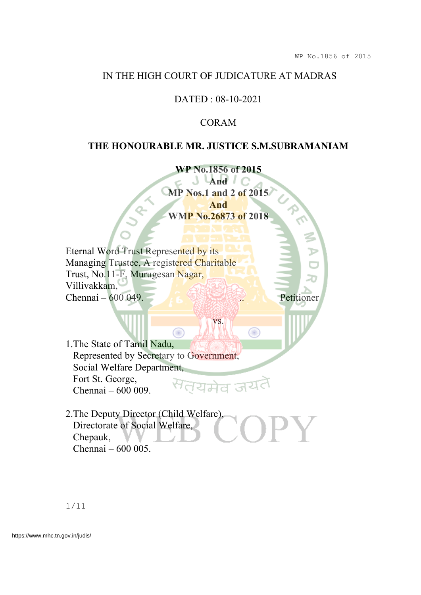### IN THE HIGH COURT OF JUDICATURE AT MADRAS

# DATED : 08-10-2021

# CORAM

## **THE HONOURABLE MR. JUSTICE S.M.SUBRAMANIAM**

**WP No.1856 of 2015 J** Land C **MP Nos.1 and 2 of 2015 And WMP No.26873 of 2018**

vs.

◉

Eternal Word Trust Represented by its Managing Trustee, A registered Charitable Trust, No.11-F, Murugesan Nagar, Villivakkam, Chennai – 600 049.

1.The State of Tamil Nadu, Represented by Secretary to Government, Social Welfare Department, Fort St. George, ਰਧਸਰ Chennai – 600 009.

Œ

2.The Deputy Director (Child Welfare), Directorate of Social Welfare, Chepauk, Chennai – 600 005.

1/11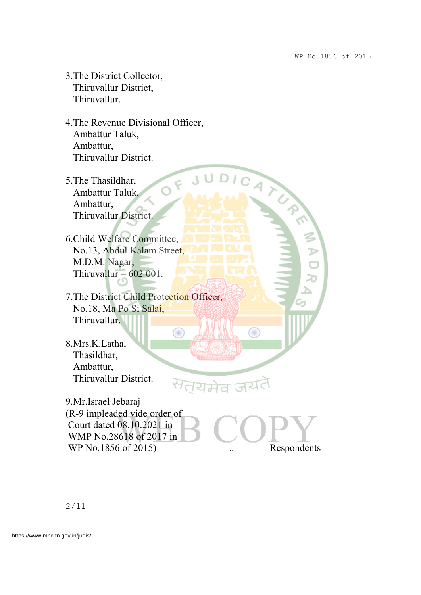- 3.The District Collector, Thiruvallur District, Thiruvallur.
- 4.The Revenue Divisional Officer, Ambattur Taluk, Ambattur, JUDICATION Thiruvallur District.

 $\epsilon$ 

◉

- 5.The Thasildhar, Ambattur Taluk, Ambattur, Thiruvallur District.
- 6.Child Welfare Committee, No.13, Abdul Kalam Street, M.D.M. Nagar, Thiruvallur –  $602001$ .
- 7.The District Child Protection Officer, No.18, Ma Po Si Salai, Thiruvallur.
- 8.Mrs.K.Latha, Thasildhar, Ambattur, Thiruvallur District.

9.Mr.Israel Jebaraj (R-9 impleaded vide order of Court dated 08.10.2021 in WMP No.28618 of 2017 in WP No.1856 of 2015) . Respondents

◉

ल्यमेव जय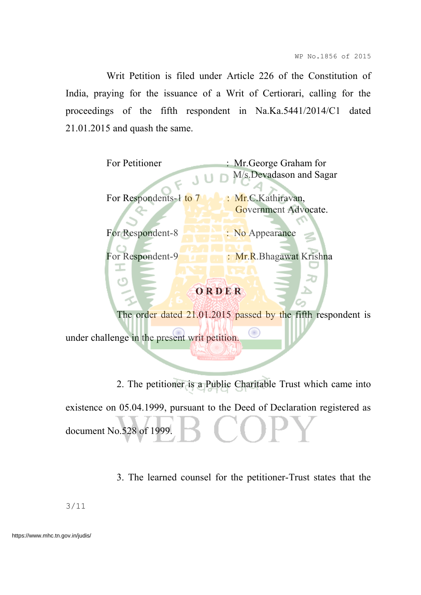Writ Petition is filed under Article 226 of the Constitution of India, praying for the issuance of a Writ of Certiorari, calling for the proceedings of the fifth respondent in Na.Ka.5441/2014/C1 dated 21.01.2015 and quash the same.

| For Petitioner         | : Mr. George Graham for |
|------------------------|-------------------------|
|                        | M/s.Devadason and Sagar |
| For Respondents-1 to 7 | : Mr.C.Kathiravan,      |
|                        | Government Advocate.    |
|                        |                         |
| For Respondent-8       | : No Appearance         |

For Respondent-9 : Mr.R.Bhagawat Krishna

# **O R D E R**

The order dated 21.01.2015 passed by the fifth respondent is

under challenge in the present writ petition.

2. The petitioner is a Public Charitable Trust which came into existence on 05.04.1999, pursuant to the Deed of Declaration registered as document No.528 of 1999

3. The learned counsel for the petitioner-Trust states that the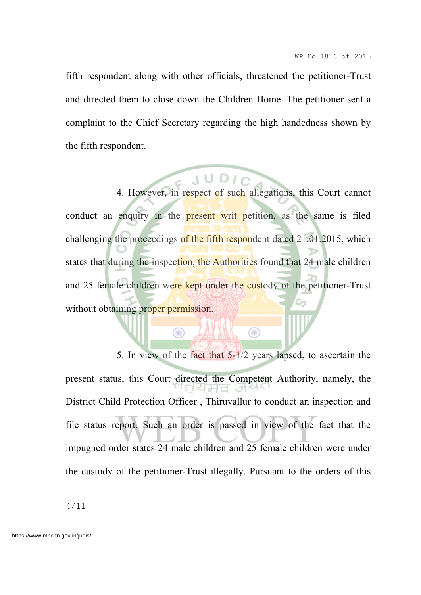fifth respondent along with other officials, threatened the petitioner-Trust and directed them to close down the Children Home. The petitioner sent a complaint to the Chief Secretary regarding the high handedness shown by the fifth respondent.

4. However, in respect of such allegations, this Court cannot conduct an enquiry in the **present** writ petition, as the same is filed challenging the proceedings of the fifth respondent dated 21.01.2015, which states that during the inspection, the Authorities found that 24 male children and 25 female children were kept under the custody of the petitioner-Trust without obtaining proper permission.

 $\bigcirc$ 

5. In view of the fact that 5-1/2 years lapsed, to ascertain the present status, this Court directed the Competent Authority, namely, the District Child Protection Officer , Thiruvallur to conduct an inspection and file status report. Such an order is passed in view of the fact that the impugned order states 24 male children and 25 female children were under the custody of the petitioner-Trust illegally. Pursuant to the orders of this

 $\bigcirc$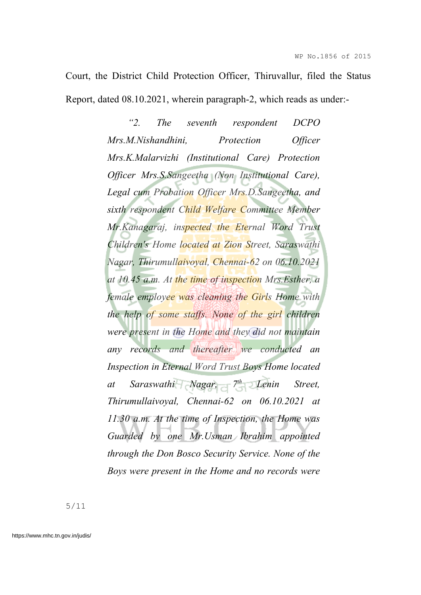Court, the District Child Protection Officer, Thiruvallur, filed the Status Report, dated 08.10.2021, wherein paragraph-2, which reads as under:-

> *"2. The seventh respondent DCPO Mrs.M.Nishandhini, Protection Officer Mrs.K.Malarvizhi (Institutional Care) Protection Officer Mrs.S.Sangeetha (Non Institutional Care), Legal cum Probation Officer Mrs.D.Sangeetha, and sixth respondent Child Welfare Committee Member Mr.Kanagaraj, inspected the Eternal Word Trust Children's Home located at Zion Street, Saraswathi Nagar, Thirumullaivoyal, Chennai-62 on 06.10.2021 at 10.45 a.m. At the time of inspection Mrs.Esther, a female employee was cleaning the Girls Home with the help of some staffs. None of the girl children were present in the Home and they did not maintain any records and thereafter we conducted an Inspection in Eternal Word Trust Boys Home located at Saraswathi Nagar, 7 th Lenin Street, Thirumullaivoyal, Chennai-62 on 06.10.2021 at 11.30 a.m. At the time of Inspection, the Home was Guarded by one Mr.Usman Ibrahim appointed through the Don Bosco Security Service. None of the Boys were present in the Home and no records were*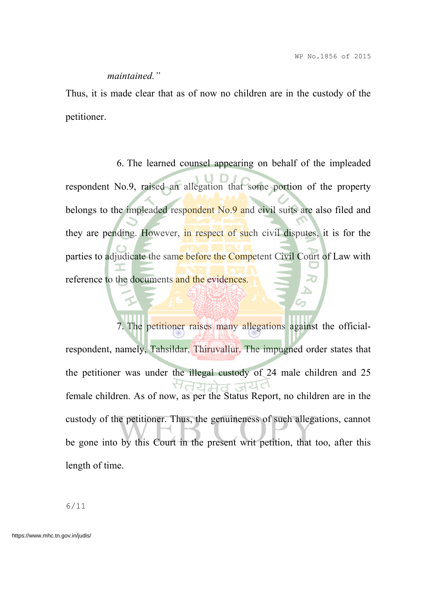#### *maintained."*

Thus, it is made clear that as of now no children are in the custody of the petitioner.

6. The learned counsel appearing on behalf of the impleaded respondent No.9, raised an allegation that some portion of the property belongs to the impleaded respondent No.9 and civil suits are also filed and they are pending. However, in respect of such civil disputes, it is for the parties to adjudicate the same before the Competent Civil Court of Law with reference to the documents and the evidences.

7. The petitioner raises many allegations against the officialrespondent, namely, Tahsildar, Thiruvallur. The impugned order states that the petitioner was under the illegal custody of 24 male children and 25 female children. As of now, as per the Status Report, no children are in the custody of the petitioner. Thus, the genuineness of such allegations, cannot be gone into by this Court in the present writ petition, that too, after this length of time.

6/11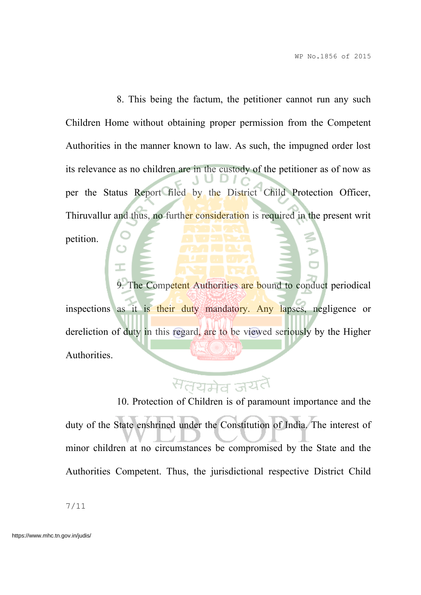8. This being the factum, the petitioner cannot run any such Children Home without obtaining proper permission from the Competent Authorities in the manner known to law. As such, the impugned order lost its relevance as no children are in the custody of the petitioner as of now as per the Status Report filed by the District Child Protection Officer, Thiruvallur and thus, no further consideration is required in the present writ petition.

9. The Competent Authorities are bound to conduct periodical inspections as it is their duty mandatory. Any lapses, negligence or dereliction of duty in this regard, are to be viewed seriously by the Higher Authorities.

# सत्तयमेव ज<sup>र</sup>

10. Protection of Children is of paramount importance and the duty of the State enshrined under the Constitution of India. The interest of minor children at no circumstances be compromised by the State and the Authorities Competent. Thus, the jurisdictional respective District Child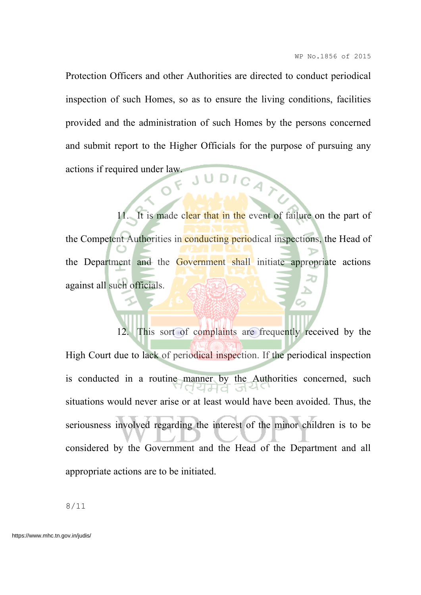Protection Officers and other Authorities are directed to conduct periodical inspection of such Homes, so as to ensure the living conditions, facilities provided and the administration of such Homes by the persons concerned and submit report to the Higher Officials for the purpose of pursuing any actions if required under law. JUDICAY

11. It is made clear that in the event of failure on the part of the Competent Authorities in conducting periodical inspections, the Head of the Department and the Government shall initiate appropriate actions against all such officials.

12. This sort of complaints are frequently received by the High Court due to lack of periodical inspection. If the periodical inspection is conducted in a routine manner by the Authorities concerned, such situations would never arise or at least would have been avoided. Thus, the seriousness involved regarding the interest of the minor children is to be considered by the Government and the Head of the Department and all appropriate actions are to be initiated.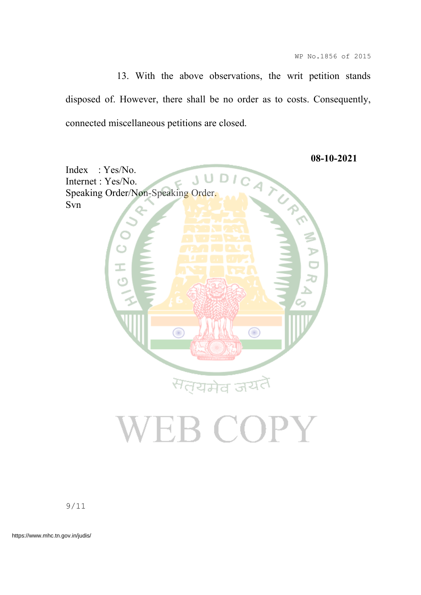13. With the above observations, the writ petition stands disposed of. However, there shall be no order as to costs. Consequently, connected miscellaneous petitions are closed.



9/11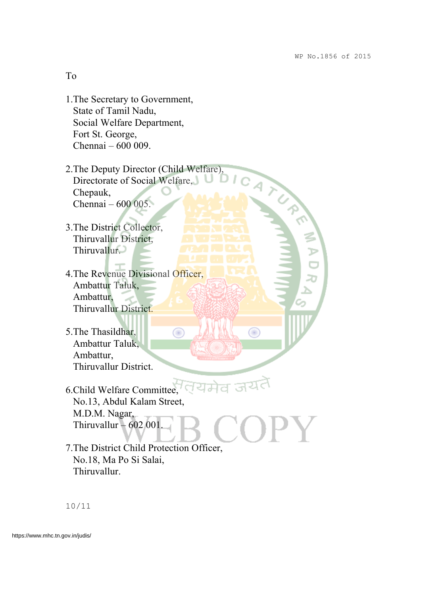| To                                                                                                                              |                                                       |
|---------------------------------------------------------------------------------------------------------------------------------|-------------------------------------------------------|
| 1. The Secretary to Government,<br>State of Tamil Nadu,<br>Social Welfare Department,<br>Fort St. George,<br>Chennai - 600 009. |                                                       |
|                                                                                                                                 | LOT AFTER MAIN                                        |
|                                                                                                                                 | 2. The Deputy Director (Child Welfare),               |
| Directorate of Social Welfare,                                                                                                  |                                                       |
| Chepauk,                                                                                                                        |                                                       |
| Chennai - 600 005.                                                                                                              |                                                       |
|                                                                                                                                 |                                                       |
| 3. The District Collector,                                                                                                      |                                                       |
| Thiruvallur District,                                                                                                           |                                                       |
| Thiruvallur.                                                                                                                    |                                                       |
|                                                                                                                                 |                                                       |
| 4. The Revenue Divisional Officer,                                                                                              |                                                       |
| Ambattur Taluk,                                                                                                                 |                                                       |
| Ambattur,                                                                                                                       |                                                       |
| Thiruvallur District.                                                                                                           |                                                       |
|                                                                                                                                 |                                                       |
| 5. The Thasildhar,                                                                                                              |                                                       |
| Ambattur Taluk,                                                                                                                 |                                                       |
| Ambattur,                                                                                                                       |                                                       |
| Thiruvallur District.                                                                                                           |                                                       |
|                                                                                                                                 | $6$ . Child Welfare Committee, $\sqrt{4}$ of $\alpha$ |
| No.13, Abdul Kalam Street,                                                                                                      |                                                       |
|                                                                                                                                 |                                                       |
| M.D.M. Nagar,<br>Thiruvallur $-602001$ .                                                                                        |                                                       |
|                                                                                                                                 |                                                       |
|                                                                                                                                 | 7. The District Child Protection Officer,             |
| No.18, Ma Po Si Salai,                                                                                                          |                                                       |
| Thiruvallur.                                                                                                                    |                                                       |
|                                                                                                                                 |                                                       |

10/11